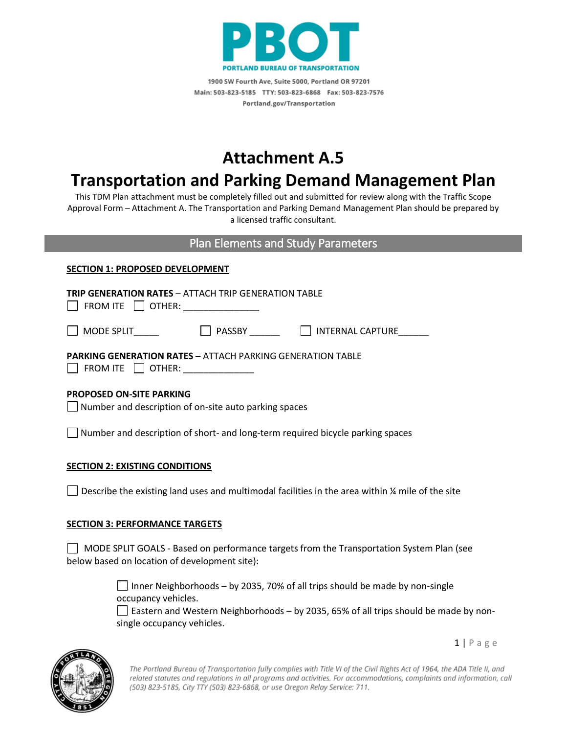

1900 SW Fourth Ave, Suite 5000, Portland OR 97201 Main: 503-823-5185 TTY: 503-823-6868 Fax: 503-823-7576 Portland.gov/Transportation

# **Attachment A.5**

# **Transportation and Parking Demand Management Plan**

This TDM Plan attachment must be completely filled out and submitted for review along with the Traffic Scope Approval Form – Attachment A. The Transportation and Parking Demand Management Plan should be prepared by a licensed traffic consultant.

Plan Elements and Study Parameters

#### **SECTION 1: PROPOSED DEVELOPMENT**

| <b>TRIP GENERATION RATES - ATTACH TRIP GENERATION TABLE</b><br>$\Box$ FROM ITE $\Box$ OTHER:       |  |                                                         |
|----------------------------------------------------------------------------------------------------|--|---------------------------------------------------------|
|                                                                                                    |  | $\Box$ MODE SPLIT $\Box$ PASSBY $\Box$ INTERNAL CAPTURE |
| <b>PARKING GENERATION RATES - ATTACH PARKING GENERATION TABLE</b><br>$\Box$ FROM ITE $\Box$ OTHER: |  |                                                         |

#### **PROPOSED ON-SITE PARKING**

Number and description of on-site auto parking spaces

Number and description of short- and long-term required bicycle parking spaces

#### **SECTION 2: EXISTING CONDITIONS**

Describe the existing land uses and multimodal facilities in the area within  $\frac{1}{4}$  mile of the site

#### **SECTION 3: PERFORMANCE TARGETS**

 MODE SPLIT GOALS - Based on performance targets from the Transportation System Plan (see below based on location of development site):

> $\Box$  Inner Neighborhoods – by 2035, 70% of all trips should be made by non-single occupancy vehicles.

 $\Box$  Eastern and Western Neighborhoods – by 2035, 65% of all trips should be made by nonsingle occupancy vehicles.

1 | Page



The Portland Bureau of Transportation fully complies with Title VI of the Civil Rights Act of 1964, the ADA Title II, and related statutes and regulations in all programs and activities. For accommodations, complaints and information, call (503) 823-5185, City TTY (503) 823-6868, or use Oregon Relay Service: 711.